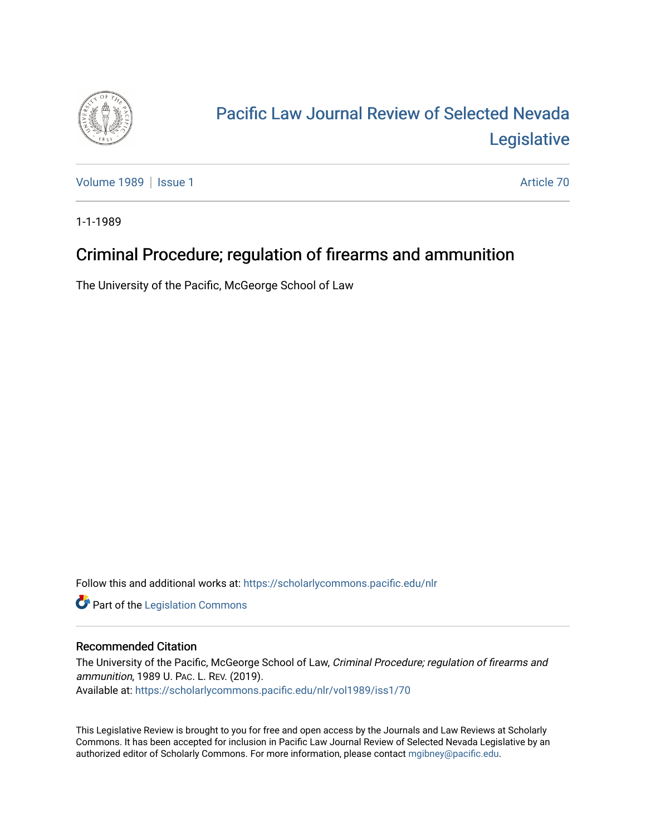

## [Pacific Law Journal Review of Selected Nevada](https://scholarlycommons.pacific.edu/nlr)  [Legislative](https://scholarlycommons.pacific.edu/nlr)

[Volume 1989](https://scholarlycommons.pacific.edu/nlr/vol1989) | [Issue 1](https://scholarlycommons.pacific.edu/nlr/vol1989/iss1) Article 70

1-1-1989

## Criminal Procedure; regulation of firearms and ammunition

The University of the Pacific, McGeorge School of Law

Follow this and additional works at: [https://scholarlycommons.pacific.edu/nlr](https://scholarlycommons.pacific.edu/nlr?utm_source=scholarlycommons.pacific.edu%2Fnlr%2Fvol1989%2Fiss1%2F70&utm_medium=PDF&utm_campaign=PDFCoverPages) 

**Part of the [Legislation Commons](http://network.bepress.com/hgg/discipline/859?utm_source=scholarlycommons.pacific.edu%2Fnlr%2Fvol1989%2Fiss1%2F70&utm_medium=PDF&utm_campaign=PDFCoverPages)** 

## Recommended Citation

The University of the Pacific, McGeorge School of Law, Criminal Procedure; regulation of firearms and ammunition, 1989 U. PAC. L. REV. (2019). Available at: [https://scholarlycommons.pacific.edu/nlr/vol1989/iss1/70](https://scholarlycommons.pacific.edu/nlr/vol1989/iss1/70?utm_source=scholarlycommons.pacific.edu%2Fnlr%2Fvol1989%2Fiss1%2F70&utm_medium=PDF&utm_campaign=PDFCoverPages)

This Legislative Review is brought to you for free and open access by the Journals and Law Reviews at Scholarly Commons. It has been accepted for inclusion in Pacific Law Journal Review of Selected Nevada Legislative by an authorized editor of Scholarly Commons. For more information, please contact [mgibney@pacific.edu](mailto:mgibney@pacific.edu).